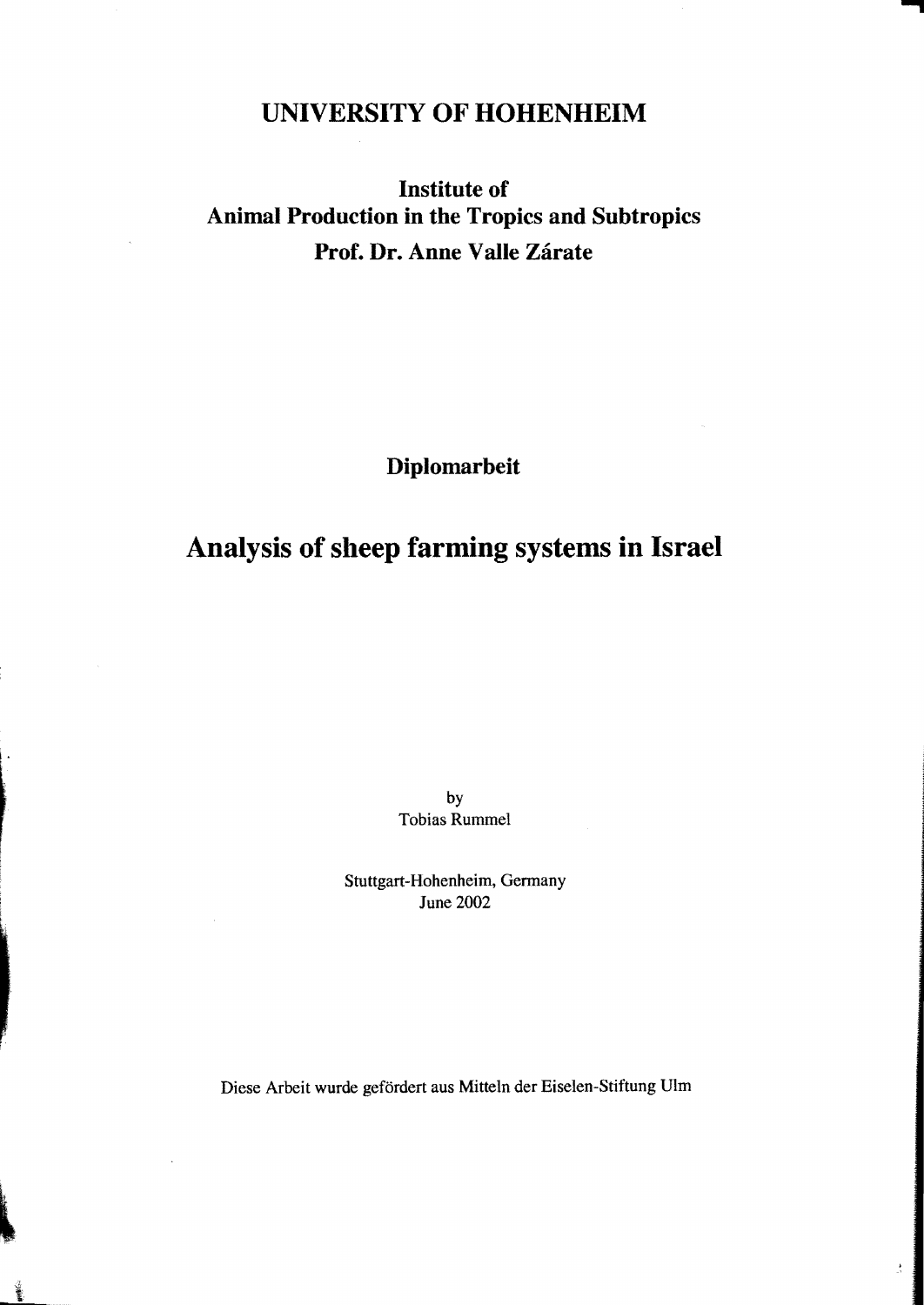### **UNIVERSITY OF HOHENHEIM**

## **Institute of Animal Production in the Tropics and Subtropics** Prof. Dr. Anne Valle Zárate

**Diplomarbeit** 

# **Analysis of sbeep farming systems in Israel**

by Tobias Rummel

Stuttgart-Hohenheim, Germany June 2002

Diese Arbeit wurde gefördert aus Mitteln der Eiselen-Stiftung Ulm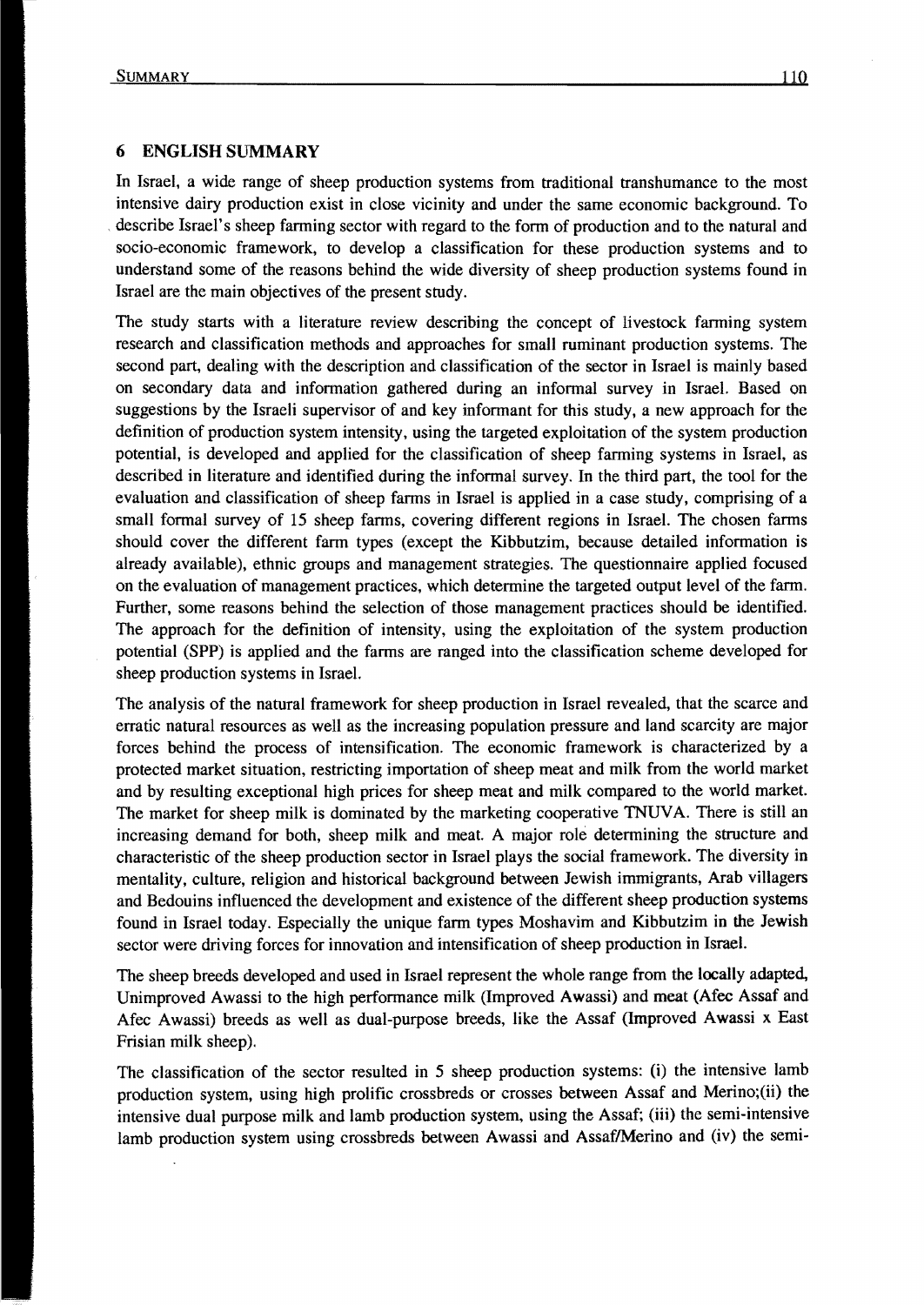### 6 ENGLISH SUMMARY

In Israel, a wide range of sheep production systems from traditional transhumance to the most intensive dairy production exist in close vicinity and under the same economic background. To describe Israel's sheep farming sector with regard to the form of production and to the natural and socio-economic framework, to develop a classification for these production systems and to understand some of the reasons behind the wide diversity of sheep production systems found in Israel are the main objectives of the present study.

The study starts with a literature review describing the concept of livestock farming system research and classification methods and approaches for small ruminant production systems. The second part, dealing with the description and classification of the sector in Israel is mainly based on secondary data and information gathered during an informal survey in IsraeL Based on suggestions by the Israeli supervisor of and key informant for this study, a new approach for the definition of production system intensity, using the targeted exploitation of the system production potential, is developed and applied for the classification of sheep farming systems in Israel, as described in literature and identified during the informal survey. In the third part, the tool for the evaluation and classification of sheep farms in Israel is applied in a case study, comprising of a small formal survey of 15 sheep farms, covering different regions in Israel. The chosen farms should cover the different farm types (except the Kibbutzim, because detailed information is al ready available), ethnic groups and management strategies. The questionnaire applied focused on the evaluation of management practices, which determine the targeted output level of the farm. Further, some reasons behind the selection of those management practices should be identified. The approach for the definition of intensity, using the exploitation of the system production potential (SPP) is applied and the farms are ranged into the classification scheme developed for sheep production systems in Israel.

The analysis of the natural framework for sheep production in Israel revealed, that the scarce and erratic natural resources as weIl as the increasing population pressure and land scarcity are majar forces behind the process of intensification. The economic framework is characterized by a protected market situation, restricting importation of sheep meat and milk from the world market and by resulting exceptional high prices for sheep meat and milk compared to the world market. The market for sheep milk is dominated by the marketing cooperative TNUVA. There is still an increasing demand for both, sheep milk and meat. A major role determining the strueture and characteristic of the sheep produetion see tor in Israel plays the social framework. The diversity in mentality, eulture, religion and historieal background between Jewish immigrants, Arab villagers and Bedouins influenced the development and existenee of the different sheep produetion systems found in Israel today. Especially the unique farm types Moshavim and Kibbutzim in the Jewish sector were driving forces for innovation and intensification of sheep production in Israel.

The sheep breeds developed and used in Israel represent the whole range from the locally adapted, Unimproved Awassi to the high performance milk (Improved Awassi) and meat (Afec Assaf and Afec Awassi) breeds as weIl as dual-purpose breeds, like the Assaf (Improved Awassi x East Frisian milk sheep).

The classification of the sector resulted in 5 sheep production systems: (i) the intensive lamb production system, using high prolifie erossbreds or crosses between Assaf and Merino;(ii) the intensive dual purpose milk and lamb production system, using the Assaf; (iii) the semi-intensive lamb production system using crossbreds between Awassi and Assaf/Merino and (iv) the semi-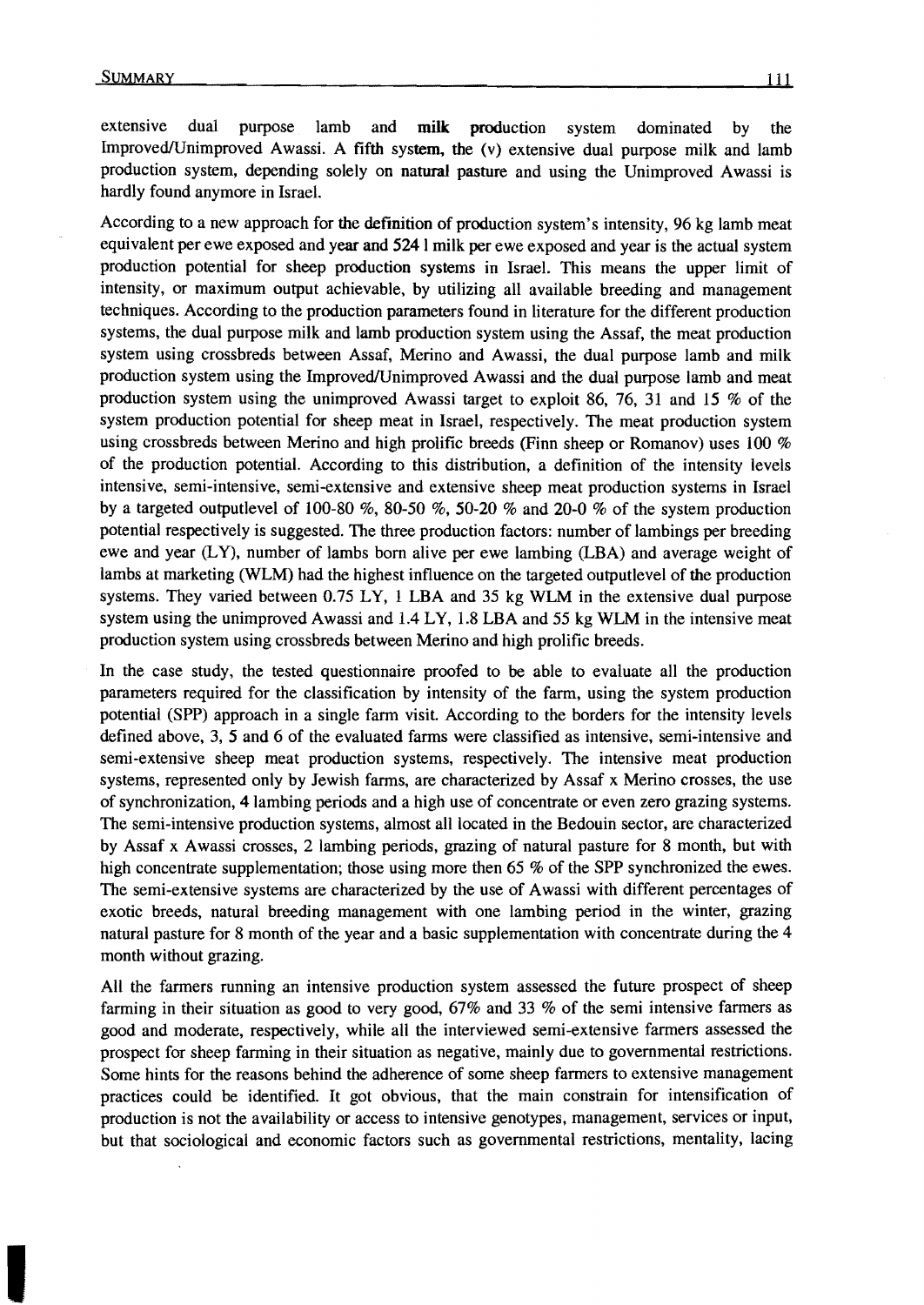extensive dual purpose lamb and milk production system dominated by the ImprovedlUnimproved Awassi. A fifth system. the (v) extensive dual purpose milk and lamb production system, depending solely on natural pasture and using the Unimproved Awassi is hardly found anymore in IsraeL

According to a new approach for the definition of production system's intensity, 96 kg lamb meat equivalent per ewe exposed and year and 5241 milk per ewe exposed and year is the actual system production potential for sheep production systems in Israel. This means the upper limit of intensity, or maximum output achievable, by utilizing all available breeding and management techniques. According to the production parameters found in literature for the different production systems, the dual purpose milk and lamb production system using the Assaf, the meat production system using crossbreds between Assaf, Merino and Awassi, the dual purpose lamb and milk production system using the Improved/Unimproved Awassi and the dual purpose lamb and meat production system using the unimproved Awassi target to exploit 86, 76, 31 and 15 % of the system production potential for sheep meat in Israel, respectively. The meat production system using crossbreds between Merino and high prolific breeds (Finn sheep or Romanov) uses 100 % of the production potential. According to this distribution, a definition of the intensity levels intensive, semi-intensive, semi-extensive and extensive sheep meat production systems in Israel by a targeted outputlevel of 100-80 %, 80-50 %, 50-20 % and 20-0 % of the system production potential respectively is suggested. The three production factors: number of lambings per breeding ewe and year  $(LY)$ , number of lambs born alive per ewe lambing  $(LBA)$  and average weight of lambs at marketing (WLM) had the highest influence on the targeted outputlevel of the production systems. They varied between 0.75 LY, 1 LBA and 35 kg WLM in the extensive dual purpose system using the unimproved Awassi and 1.4 LY, 1.8 LBA and 55 kg WLM in the intensive meat production system using crossbreds between Merino and high prolific breeds.

In the case study, the tested questionnaire proofed to be able to evaluate all the production parameters required for the classification by intensity of the farm, using the system production potential (SPP) approach in a single farm visit. According to the borders for the intensity levels defined above, 3, 5 and 6 of the evaluated farms were classified as intensive, semi-intensive and semi-extensive sheep meat production systems, respectively. The intensive meat production systems, represented only by Jewish farms, are characterized by Assaf x Merino crosses, the use of synchronization, 41ambing periods and a high use of concentrate or even zero grazing systems. The semi-intensive production systems, almost all located in the Bedouin sector, are characterized by Assaf x Awassi crosses, 2 lambing periods, grazing of natural pasture for 8 month, but with high concentrate supplementation; those using more then 65 % of the SPP synchronized the ewes. The semi-extensive systems are characterized by the use of Awassi with different percentages of exotic breeds, natural breeding management with one lambing period in the winter, grazing natural pasture for 8 month of the year and a basic supplementation with concentrate during the 4 month without grazing.

All the farmers running an intensive production system assessed the future prospect of sheep farming in their situation as good to very good, 67% and 33 % of the semi intensive farmers as good and moderate, respectively, while all the interviewed semi-extensive farmers assessed the prospect for sheep farming in their situation as negative, mainly due to governmental restrictions. Some hints for the reasons behind the adherence of some sheep farmers to extensive management practices could be identified. It got obvious, that the main constrain for intensification of production is not the availability or access to intensive genotypes, management, services or input, but that sociological and economic factors such as governmental restrictions, mentality, lacing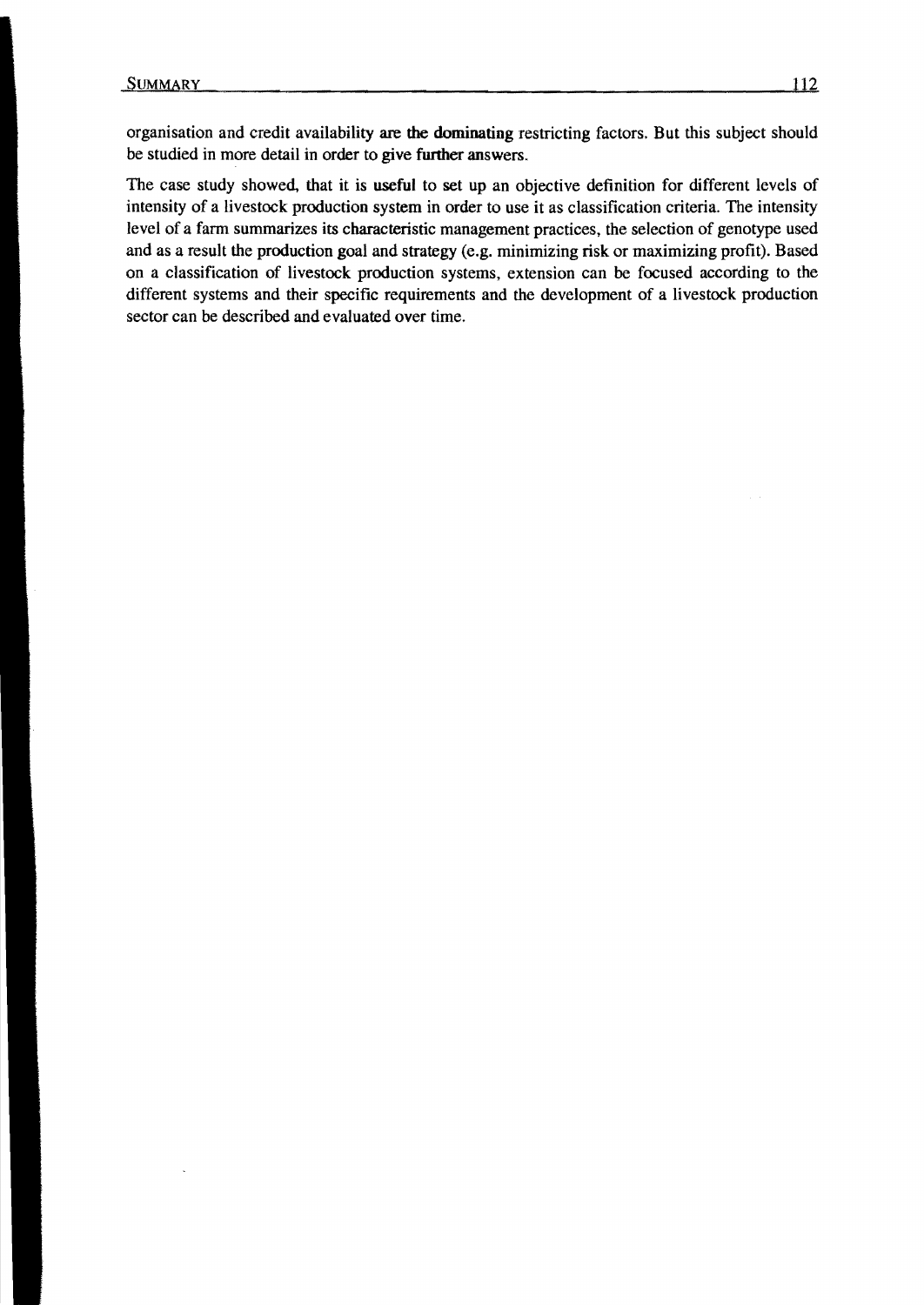organisation and credit availability are tbe dominating restricting factors. But this subject should be studied in more detail in order to give further answers.

The case study showed, that it is useful to set up an objective definition for different levels of intensity of a livestock production system in order to use it as classification criteria. The intensity level of a farm summarizes its eharacteristie management praetiees, the seleetion of genotype used and as a result the production goal and strategy (e.g. minimizing risk or maximizing profit). Based on a c1assifieation of livestock production systems, extension ean be focused aecording to the different systems and their specifie requirements and the development of a livestock produetion sector ean be deseribed and evaluated over time.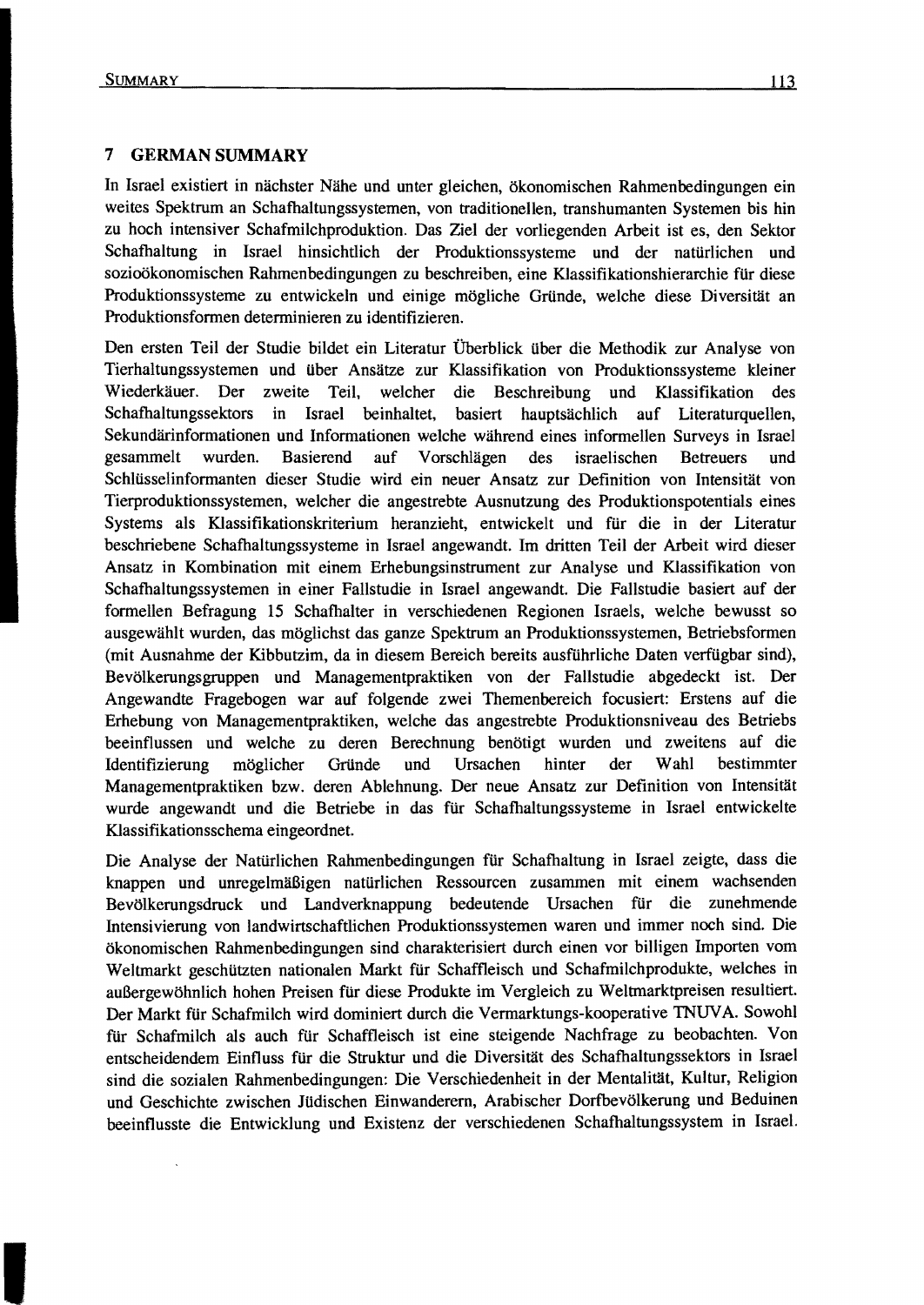#### 7 **GERMAN SUMMARY**

In Israel existiert in nächster Nähe und unter gleichen, ökonomischen Rahmenbedingungen ein weites Spektrum an Schafhaltungssystemen, von traditionellen, transhumanten Systemen bis hin zu hoch intensiver Schafmilchproduktion. Das Ziel der vorliegenden Arbeit ist es, den Sektor Schafhaltung in Israel hinsichtlich der Produktionssysteme und der natürlichen und sozioökonomischen Rahmenbedingungen zu beschreiben, eine Klassifikationshierarchie für diese Produktionssysteme zu entwickeln und einige mögliche Gründe, welche diese Diversität an Produktionsformen determinieren zu identifizieren.

Den ersten Teil der Studie bildet ein Literatur Überblick über die Methodik zur Analyse von Tierhaltungssystemen und über Ansätze zur Klassifikation von Produktionssysteme kleiner Wiederkäuer. Der zweite Teil, welcher die Beschreibung und Klassifikation des Schafhaltungssektors in Israel beinhaltet, basiert hauptsächlich auf Literaturquellen, Sekundärinformationen und Informationen welche während eines informellen Surveys in Israel gesammelt wurden. Basierend auf Vorschlägen des israelischen Betreuers und Schlüsselinformanten dieser Studie wird ein neuer Ansatz zur Definition von Intensität von Tierproduktionssystemen, welcher die angestrebte Ausnutzung des Produktionspotentials eines Systems als Klassifikationskriterium heranzieht, entwickelt und für die in der Literatur beschriebene Schafhaltungssysteme in Israel angewandt. Im dritten Teil der Arbeit wird dieser Ansatz in Kombination mit einem Erhebungsinstrument zur Analyse und Klassifikation von Schafhaltungssystemen in einer Fallstudie in Israel angewandt. Die Fallstudie basiert auf der formellen Befragung 15 Schafhalter in verschiedenen Regionen Israels. welche bewusst so ausgewählt wurden, das möglichst das ganze Spektrum an Produktionssystemen, Betriebsformen (mit Ausnahme der Kibbutzim, da in diesem Bereich bereits ausführliche Daten verfügbar sind), Bevölkerungsgruppen und Managementpraktiken von der Fallstudie abgedeckt ist. Der Angewandte Fragebogen war auf folgende zwei Themenbereich focusiert: Erstens auf die Erhebung von Managementpraktiken, welche das angestrebte Produktionsniveau des Betriebs beeinflussen und welche zu deren Berechnung benötigt wurden und zweitens auf die Identifizierung möglicher Gründe und Ursachen hinter der Wahl bestimmter Managementpraktiken bzw. deren Ablehnung. Der neue Ansatz zur Definition von Intensität wurde angewandt und die Betriebe in das für Schafhaltungssysteme in Israel entwickelte Klassifikationsschema eingeordnet.

Die Analyse der Natürlichen Rahmenbedingungen für Schafhaltung in Israel zeigte, dass die knappen und unregelmäßigen natürlichen Ressourcen zusammen mit einem wachsenden Bevölkerungsdruck und Landverknappung bedeutende Ursachen für die zunehmende Intensivierung von landwirtschaftlichen Produktionssystemen waren und immer noch sind. Die ökonomischen Rahmenbedingungen sind charakterisiert durch einen vor billigen Importen vom Weltmarkt geschützten nationalen Markt für Schaffleisch und Schafmilchprodukte, welches in außergewöhnlich hohen Preisen für diese Produkte im Vergleich zu Weltmarktpreisen resultiert. Der Markt für Schafmilch wird dominiert durch die Vermarktungs-kooperative TNUV A. Sowohl ftir Schafmilch als auch für Schaffleisch ist eine steigende Nachfrage zu beobachten. Von entscheidendem Einfluss für die Struktur und die Diversität des Schafhaltungssektors in Israel sind die sozialen Rahmenbedingungen: Die Verschiedenheit in der Mentalität, Kultur, Religion und Geschichte zwischen Jüdischen Einwanderern, Arabischer Dorfbevölkerung und Beduinen beeinflusste die Entwicklung und Existenz der verschiedenen Schafhaltungssystem in IsraeL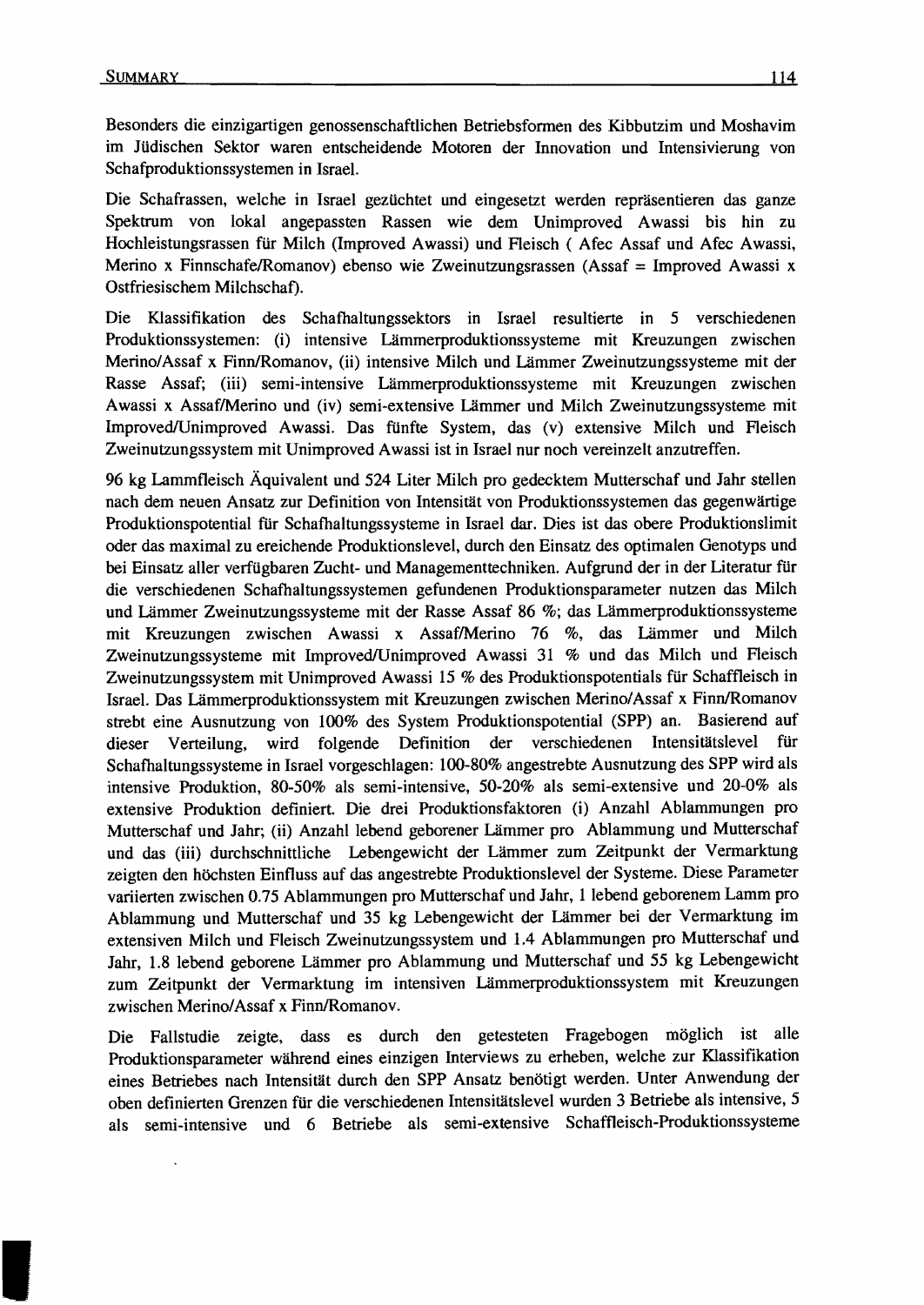Besonders die einzigartigen genossenschaftlichen Betriebsfonnen des Kibbutzim und Moshavim im Jüdischen Sektor waren entscheidende Motoren der Innovation und Intensivierung von Schaf produktions systemen in Israel.

Die Schafrassen, welche in Israel gezüchtet und eingesetzt werden repräsentieren das ganze Spektrum von lokal angepassten Rassen wie dem Unimproved Awassi bis hin zu Hochleistungsrassen für Milch (Improved Awassi) und Fleisch ( Afec Assaf und Afec Awassi, Merino x Finnschafe/Romanov) ebenso wie Zweinutzungsrassen (Assaf = Improved Awassi x Ostfriesischem Milchschaf).

Die Klassifikation des Schafhaltungssektors in Israel resultierte in 5 verschiedenen Produktionssystemen: (i) intensive Lämmerproduktionssysteme mit Kreuzungen zwischen Merino/Assaf x Finn/Romanov, (ii) intensive Milch und Lämmer Zweinutzungssysteme mit der Rasse Assaf; (iii) semi-intensive Lämmerproduktionssysteme mit Kreuzungen zwischen Awassi x AssaflMerino und (iv) semi-extensive Lämmer und Milch Zweinutzungssysteme mit ImprovedlUnimproved Awassi. Das fünfte System, das (v) extensive Milch und Fleisch Zweinutzungssystem mit Unimproved Awassi ist in Israel nur noch vereinzelt anzutreffen.

96 kg Lammfleisch Äquivalent und 524 Liter Milch pro gedecktem Mutterschaf und Jahr stellen nach dem neuen Ansatz zur Definition von Intensität von Produktionssystemen das gegenwärtige Produktionspotential für Schafhaltungssysteme in Israel dar. Dies ist das obere Produktionslimit oder das maximal zu ereichende Produktionslevel, durch den Einsatz des optimalen Genotyps und bei Einsatz aller verfügbaren Zucht- und Managementtechniken. Aufgrund der in der Literatur für die verschiedenen Schafhaltungssystemen gefundenen Produktionsparameter nutzen das Milch und Lämmer Zweinutzungssysteme mit der Rasse Assaf 86 %; das Lämmerproduktionssysteme mit Kreuzungen zwischen Awassi x AssaflMerino 76 %, das Lämmer und Milch Zweinutzungssysteme mit Improved/Unimproved Awassi 31 % und das Milch und Fleisch Zweinutzungssystem mit Unimproved Awassi 15 % des Produktionspotentials für Schaffleisch in Israel. Das Lämmerproduktionssystem mit Kreuzungen zwischen Merino/Assaf x Finn/Romanov strebt eine Ausnutzung von 100% des System Produktionspotential (SPP) an. Basierend auf dieser Verteilung, wird folgende Definition der verschiedenen Intensitätslevel für Schafhaltungssysteme in Israel vorgeschlagen: 100-80% angestrebte Ausnutzung des SPP wird als intensive Produktion, 80-50% als semi-intensive, 50-20% als semi-extensive und 20-0% als extensive Produktion definiert. Die drei Produktionsfaktoren (i) Anzahl Ablammungen pro Mutterschaf und Jahr; (ii) Anzahl lebend geborener Lämmer pro Ablammung und Mutterschaf und das (iii) durchschnittliche Lebengewicht der Lämmer zum Zeitpunkt der Vermarktung zeigten den höchsten Einfluss auf das angestrebte Produktionslevel der Systeme. Diese Parameter variierten zwischen 0.75 Ablammungen pro Mutterschaf und Jahr, 1 lebend geborenem Lamm pro Ablammung und Mutterschaf und 35 kg Lebengewicht der Lämmer bei der Vennarktung im extensiven Milch und Fleisch Zweinutzungssystem und 1.4 Ablammungen pro Mutterschaf und Jahr, 1.8 lebend geborene Lämmer pro Ablammung und Mutterschaf und 55 kg Lebengewicht zum Zeitpunkt der Vennarktung im intensiven Lämmerproduktionssystem mit Kreuzungen zwischen Merino/Assaf x Finn/Romanov.

Die Fallstudie zeigte, dass es durch den getesteten Fragebogen möglich ist alle Produktionsparameter während eines einzigen Interviews zu erheben, welche zur Klassifikation eines Betriebes nach Intensität durch den SPP Ansatz benötigt werden. Unter Anwendung der oben definierten Grenzen für die verschiedenen Intensitätslevel wurden 3 Betriebe als intensive, 5 als semi-intensive und 6 Betriebe als semi-extensive Schaffleisch-Produktionssysteme